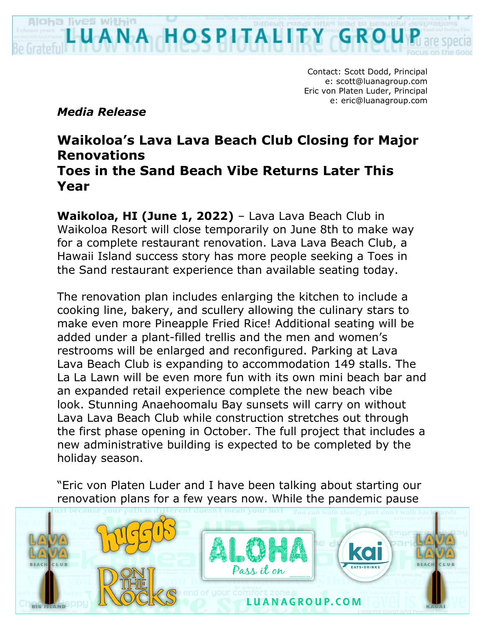Aloha lives within OSP

> Contact: Scott Dodd, Principal e: scott@luanagroup.com Eric von Platen Luder, Principal e: eric@luanagroup.com

*Media Release*

## **Waikoloa's Lava Lava Beach Club Closing for Major Renovations Toes in the Sand Beach Vibe Returns Later This Year**

**Waikoloa, HI (June 1, 2022)** – Lava Lava Beach Club in Waikoloa Resort will close temporarily on June 8th to make way for a complete restaurant renovation. Lava Lava Beach Club, a Hawaii Island success story has more people seeking a Toes in the Sand restaurant experience than available seating today.

The renovation plan includes enlarging the kitchen to include a cooking line, bakery, and scullery allowing the culinary stars to make even more Pineapple Fried Rice! Additional seating will be added under a plant-filled trellis and the men and women's restrooms will be enlarged and reconfigured. Parking at Lava Lava Beach Club is expanding to accommodation 149 stalls. The La La Lawn will be even more fun with its own mini beach bar and an expanded retail experience complete the new beach vibe look. Stunning Anaehoomalu Bay sunsets will carry on without Lava Lava Beach Club while construction stretches out through the first phase opening in October. The full project that includes a new administrative building is expected to be completed by the holiday season.

"Eric von Platen Luder and I have been talking about starting our renovation plans for a few years now. While the pandemic pause